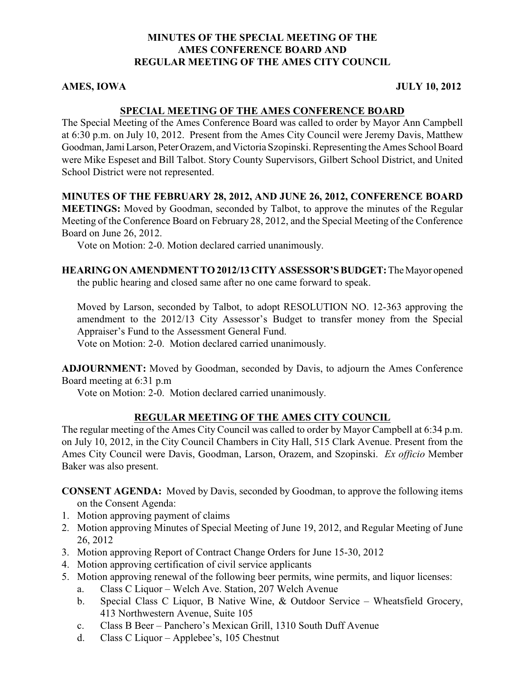#### **MINUTES OF THE SPECIAL MEETING OF THE AMES CONFERENCE BOARD AND REGULAR MEETING OF THE AMES CITY COUNCIL**

#### **AMES, IOWA** JULY 10, 2012

#### **SPECIAL MEETING OF THE AMES CONFERENCE BOARD**

The Special Meeting of the Ames Conference Board was called to order by Mayor Ann Campbell at 6:30 p.m. on July 10, 2012. Present from the Ames City Council were Jeremy Davis, Matthew Goodman, Jami Larson, Peter Orazem, and Victoria Szopinski. Representing the Ames School Board were Mike Espeset and Bill Talbot. Story County Supervisors, Gilbert School District, and United School District were not represented.

#### **MINUTES OF THE FEBRUARY 28, 2012, AND JUNE 26, 2012, CONFERENCE BOARD**

**MEETINGS:** Moved by Goodman, seconded by Talbot, to approve the minutes of the Regular Meeting of the Conference Board on February 28, 2012, and the Special Meeting of the Conference Board on June 26, 2012.

Vote on Motion: 2-0. Motion declared carried unanimously.

#### **HEARING ON AMENDMENT TO 2012/13 CITY ASSESSOR'S BUDGET:** The Mayor opened the public hearing and closed same after no one came forward to speak.

Moved by Larson, seconded by Talbot, to adopt RESOLUTION NO. 12-363 approving the amendment to the 2012/13 City Assessor's Budget to transfer money from the Special Appraiser's Fund to the Assessment General Fund.

Vote on Motion: 2-0. Motion declared carried unanimously.

**ADJOURNMENT:** Moved by Goodman, seconded by Davis, to adjourn the Ames Conference Board meeting at 6:31 p.m

Vote on Motion: 2-0. Motion declared carried unanimously.

### **REGULAR MEETING OF THE AMES CITY COUNCIL**

The regular meeting of the Ames City Council was called to order by Mayor Campbell at 6:34 p.m. on July 10, 2012, in the City Council Chambers in City Hall, 515 Clark Avenue. Present from the Ames City Council were Davis, Goodman, Larson, Orazem, and Szopinski. *Ex officio* Member Baker was also present.

**CONSENT AGENDA:** Moved by Davis, seconded by Goodman, to approve the following items on the Consent Agenda:

- 1. Motion approving payment of claims
- 2. Motion approving Minutes of Special Meeting of June 19, 2012, and Regular Meeting of June 26, 2012
- 3. Motion approving Report of Contract Change Orders for June 15-30, 2012
- 4. Motion approving certification of civil service applicants
- 5. Motion approving renewal of the following beer permits, wine permits, and liquor licenses:
	- a. Class C Liquor Welch Ave. Station, 207 Welch Avenue
	- b. Special Class C Liquor, B Native Wine, & Outdoor Service Wheatsfield Grocery, 413 Northwestern Avenue, Suite 105
	- c. Class B Beer Panchero's Mexican Grill, 1310 South Duff Avenue
	- d. Class C Liquor Applebee's, 105 Chestnut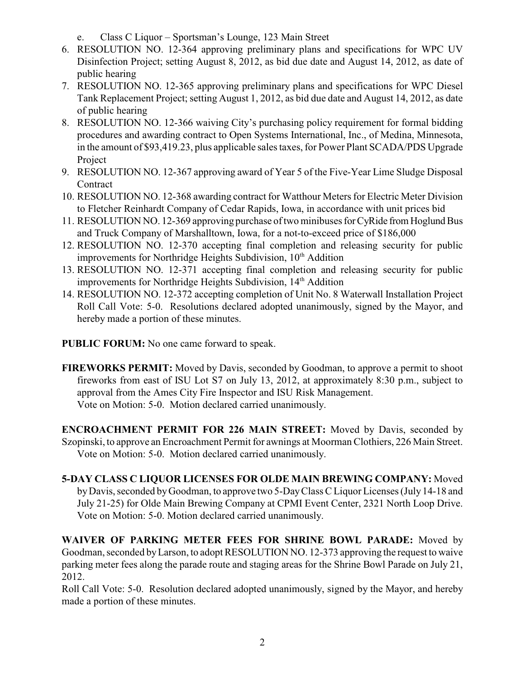- e. Class C Liquor Sportsman's Lounge, 123 Main Street
- 6. RESOLUTION NO. 12-364 approving preliminary plans and specifications for WPC UV Disinfection Project; setting August 8, 2012, as bid due date and August 14, 2012, as date of public hearing
- 7. RESOLUTION NO. 12-365 approving preliminary plans and specifications for WPC Diesel Tank Replacement Project; setting August 1, 2012, as bid due date and August 14, 2012, as date of public hearing
- 8. RESOLUTION NO. 12-366 waiving City's purchasing policy requirement for formal bidding procedures and awarding contract to Open Systems International, Inc., of Medina, Minnesota, in the amount of \$93,419.23, plus applicable sales taxes, for Power Plant SCADA/PDS Upgrade Project
- 9. RESOLUTION NO. 12-367 approving award of Year 5 of the Five-Year Lime Sludge Disposal **Contract**
- 10. RESOLUTION NO. 12-368 awarding contract for Watthour Meters for Electric Meter Division to Fletcher Reinhardt Company of Cedar Rapids, Iowa, in accordance with unit prices bid
- 11. RESOLUTION NO. 12-369 approving purchase of two minibuses for CyRide from Hoglund Bus and Truck Company of Marshalltown, Iowa, for a not-to-exceed price of \$186,000
- 12. RESOLUTION NO. 12-370 accepting final completion and releasing security for public improvements for Northridge Heights Subdivision, 10<sup>th</sup> Addition
- 13. RESOLUTION NO. 12-371 accepting final completion and releasing security for public improvements for Northridge Heights Subdivision, 14<sup>th</sup> Addition
- 14. RESOLUTION NO. 12-372 accepting completion of Unit No. 8 Waterwall Installation Project Roll Call Vote: 5-0. Resolutions declared adopted unanimously, signed by the Mayor, and hereby made a portion of these minutes.

**PUBLIC FORUM:** No one came forward to speak.

**FIREWORKS PERMIT:** Moved by Davis, seconded by Goodman, to approve a permit to shoot fireworks from east of ISU Lot S7 on July 13, 2012, at approximately 8:30 p.m., subject to approval from the Ames City Fire Inspector and ISU Risk Management. Vote on Motion: 5-0. Motion declared carried unanimously.

**ENCROACHMENT PERMIT FOR 226 MAIN STREET:** Moved by Davis, seconded by Szopinski, to approve an Encroachment Permit for awnings at Moorman Clothiers, 226 Main Street. Vote on Motion: 5-0. Motion declared carried unanimously.

**5-DAY CLASS C LIQUOR LICENSES FOR OLDE MAIN BREWING COMPANY:** Moved by Davis, seconded by Goodman, to approve two 5-Day Class C Liquor Licenses (July 14-18 and July 21-25) for Olde Main Brewing Company at CPMI Event Center, 2321 North Loop Drive. Vote on Motion: 5-0. Motion declared carried unanimously.

**WAIVER OF PARKING METER FEES FOR SHRINE BOWL PARADE:** Moved by Goodman, seconded by Larson, to adopt RESOLUTION NO. 12-373 approving the request to waive parking meter fees along the parade route and staging areas for the Shrine Bowl Parade on July 21, 2012.

Roll Call Vote: 5-0. Resolution declared adopted unanimously, signed by the Mayor, and hereby made a portion of these minutes.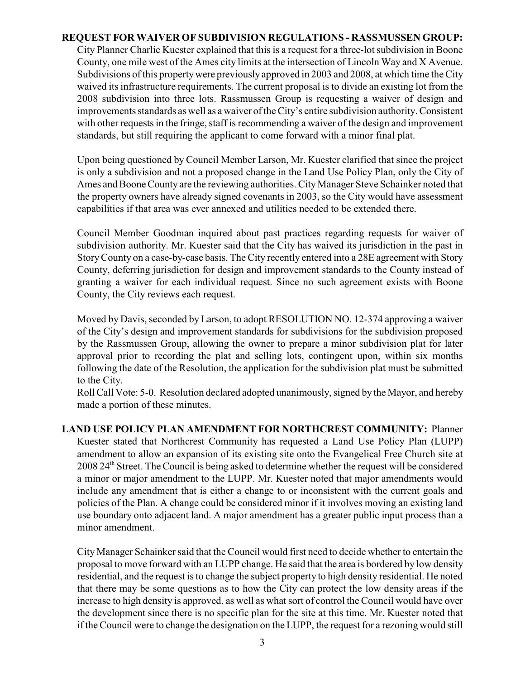#### **REQUEST FOR WAIVER OF SUBDIVISION REGULATIONS - RASSMUSSEN GROUP:**

City Planner Charlie Kuester explained that this is a request for a three-lot subdivision in Boone County, one mile west of the Ames city limits at the intersection of Lincoln Way and X Avenue. Subdivisions of this property were previously approved in 2003 and 2008, at which time the City waived its infrastructure requirements. The current proposal is to divide an existing lot from the 2008 subdivision into three lots. Rassmussen Group is requesting a waiver of design and improvements standards as well as a waiver of the City's entire subdivision authority. Consistent with other requests in the fringe, staff is recommending a waiver of the design and improvement standards, but still requiring the applicant to come forward with a minor final plat.

Upon being questioned by Council Member Larson, Mr. Kuester clarified that since the project is only a subdivision and not a proposed change in the Land Use Policy Plan, only the City of Ames and Boone County are the reviewing authorities. City Manager Steve Schainker noted that the property owners have already signed covenants in 2003, so the City would have assessment capabilities if that area was ever annexed and utilities needed to be extended there.

Council Member Goodman inquired about past practices regarding requests for waiver of subdivision authority. Mr. Kuester said that the City has waived its jurisdiction in the past in Story County on a case-by-case basis. The City recently entered into a 28E agreement with Story County, deferring jurisdiction for design and improvement standards to the County instead of granting a waiver for each individual request. Since no such agreement exists with Boone County, the City reviews each request.

Moved by Davis, seconded by Larson, to adopt RESOLUTION NO. 12-374 approving a waiver of the City's design and improvement standards for subdivisions for the subdivision proposed by the Rassmussen Group, allowing the owner to prepare a minor subdivision plat for later approval prior to recording the plat and selling lots, contingent upon, within six months following the date of the Resolution, the application for the subdivision plat must be submitted to the City.

Roll Call Vote: 5-0. Resolution declared adopted unanimously, signed by the Mayor, and hereby made a portion of these minutes.

**LAND USE POLICY PLAN AMENDMENT FOR NORTHCREST COMMUNITY:** Planner Kuester stated that Northcrest Community has requested a Land Use Policy Plan (LUPP) amendment to allow an expansion of its existing site onto the Evangelical Free Church site at 2008 24<sup>th</sup> Street. The Council is being asked to determine whether the request will be considered a minor or major amendment to the LUPP. Mr. Kuester noted that major amendments would include any amendment that is either a change to or inconsistent with the current goals and policies of the Plan. A change could be considered minor if it involves moving an existing land use boundary onto adjacent land. A major amendment has a greater public input process than a minor amendment.

City Manager Schainker said that the Council would first need to decide whether to entertain the proposal to move forward with an LUPP change. He said that the area is bordered by low density residential, and the request is to change the subject property to high density residential. He noted that there may be some questions as to how the City can protect the low density areas if the increase to high density is approved, as well as what sort of control the Council would have over the development since there is no specific plan for the site at this time. Mr. Kuester noted that if the Council were to change the designation on the LUPP, the request for a rezoning would still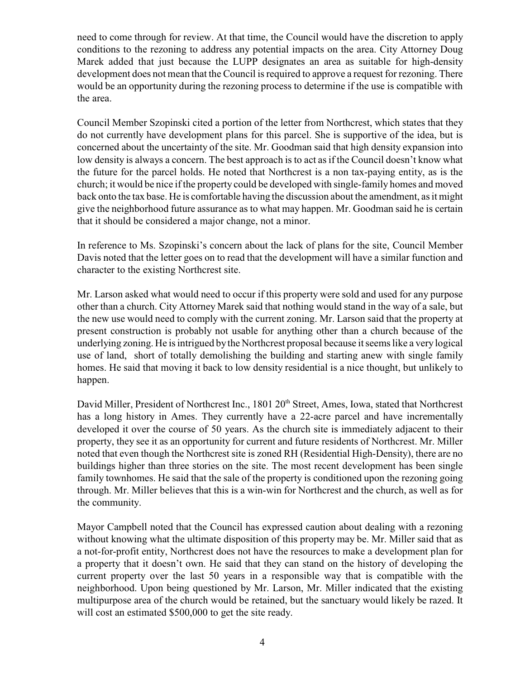need to come through for review. At that time, the Council would have the discretion to apply conditions to the rezoning to address any potential impacts on the area. City Attorney Doug Marek added that just because the LUPP designates an area as suitable for high-density development does not mean that the Council is required to approve a request for rezoning. There would be an opportunity during the rezoning process to determine if the use is compatible with the area.

Council Member Szopinski cited a portion of the letter from Northcrest, which states that they do not currently have development plans for this parcel. She is supportive of the idea, but is concerned about the uncertainty of the site. Mr. Goodman said that high density expansion into low density is always a concern. The best approach is to act as if the Council doesn't know what the future for the parcel holds. He noted that Northcrest is a non tax-paying entity, as is the church; it would be nice if the property could be developed with single-family homes and moved back onto the tax base. He is comfortable having the discussion about the amendment, as it might give the neighborhood future assurance as to what may happen. Mr. Goodman said he is certain that it should be considered a major change, not a minor.

In reference to Ms. Szopinski's concern about the lack of plans for the site, Council Member Davis noted that the letter goes on to read that the development will have a similar function and character to the existing Northcrest site.

Mr. Larson asked what would need to occur if this property were sold and used for any purpose other than a church. City Attorney Marek said that nothing would stand in the way of a sale, but the new use would need to comply with the current zoning. Mr. Larson said that the property at present construction is probably not usable for anything other than a church because of the underlying zoning. He is intrigued by the Northcrest proposal because it seems like a very logical use of land, short of totally demolishing the building and starting anew with single family homes. He said that moving it back to low density residential is a nice thought, but unlikely to happen.

David Miller, President of Northcrest Inc., 1801 20<sup>th</sup> Street, Ames, Iowa, stated that Northcrest has a long history in Ames. They currently have a 22-acre parcel and have incrementally developed it over the course of 50 years. As the church site is immediately adjacent to their property, they see it as an opportunity for current and future residents of Northcrest. Mr. Miller noted that even though the Northcrest site is zoned RH (Residential High-Density), there are no buildings higher than three stories on the site. The most recent development has been single family townhomes. He said that the sale of the property is conditioned upon the rezoning going through. Mr. Miller believes that this is a win-win for Northcrest and the church, as well as for the community.

Mayor Campbell noted that the Council has expressed caution about dealing with a rezoning without knowing what the ultimate disposition of this property may be. Mr. Miller said that as a not-for-profit entity, Northcrest does not have the resources to make a development plan for a property that it doesn't own. He said that they can stand on the history of developing the current property over the last 50 years in a responsible way that is compatible with the neighborhood. Upon being questioned by Mr. Larson, Mr. Miller indicated that the existing multipurpose area of the church would be retained, but the sanctuary would likely be razed. It will cost an estimated \$500,000 to get the site ready.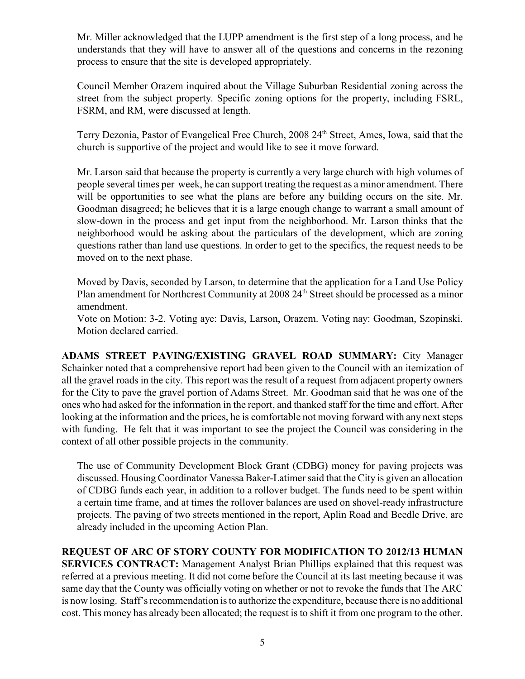Mr. Miller acknowledged that the LUPP amendment is the first step of a long process, and he understands that they will have to answer all of the questions and concerns in the rezoning process to ensure that the site is developed appropriately.

Council Member Orazem inquired about the Village Suburban Residential zoning across the street from the subject property. Specific zoning options for the property, including FSRL, FSRM, and RM, were discussed at length.

Terry Dezonia, Pastor of Evangelical Free Church, 2008 24<sup>th</sup> Street, Ames, Iowa, said that the church is supportive of the project and would like to see it move forward.

Mr. Larson said that because the property is currently a very large church with high volumes of people several times per week, he can support treating the request as a minor amendment. There will be opportunities to see what the plans are before any building occurs on the site. Mr. Goodman disagreed; he believes that it is a large enough change to warrant a small amount of slow-down in the process and get input from the neighborhood. Mr. Larson thinks that the neighborhood would be asking about the particulars of the development, which are zoning questions rather than land use questions. In order to get to the specifics, the request needs to be moved on to the next phase.

Moved by Davis, seconded by Larson, to determine that the application for a Land Use Policy Plan amendment for Northcrest Community at  $2008\ 24<sup>th</sup>$  Street should be processed as a minor amendment.

Vote on Motion: 3-2. Voting aye: Davis, Larson, Orazem. Voting nay: Goodman, Szopinski. Motion declared carried.

**ADAMS STREET PAVING/EXISTING GRAVEL ROAD SUMMARY:** City Manager Schainker noted that a comprehensive report had been given to the Council with an itemization of all the gravel roads in the city. This report was the result of a request from adjacent property owners for the City to pave the gravel portion of Adams Street. Mr. Goodman said that he was one of the ones who had asked for the information in the report, and thanked staff for the time and effort. After looking at the information and the prices, he is comfortable not moving forward with any next steps with funding. He felt that it was important to see the project the Council was considering in the context of all other possible projects in the community.

The use of Community Development Block Grant (CDBG) money for paving projects was discussed. Housing Coordinator Vanessa Baker-Latimer said that the City is given an allocation of CDBG funds each year, in addition to a rollover budget. The funds need to be spent within a certain time frame, and at times the rollover balances are used on shovel-ready infrastructure projects. The paving of two streets mentioned in the report, Aplin Road and Beedle Drive, are already included in the upcoming Action Plan.

# **REQUEST OF ARC OF STORY COUNTY FOR MODIFICATION TO 2012/13 HUMAN**

**SERVICES CONTRACT:** Management Analyst Brian Phillips explained that this request was referred at a previous meeting. It did not come before the Council at its last meeting because it was same day that the County was officially voting on whether or not to revoke the funds that The ARC is now losing. Staff's recommendation is to authorize the expenditure, because there is no additional cost. This money has already been allocated; the request is to shift it from one program to the other.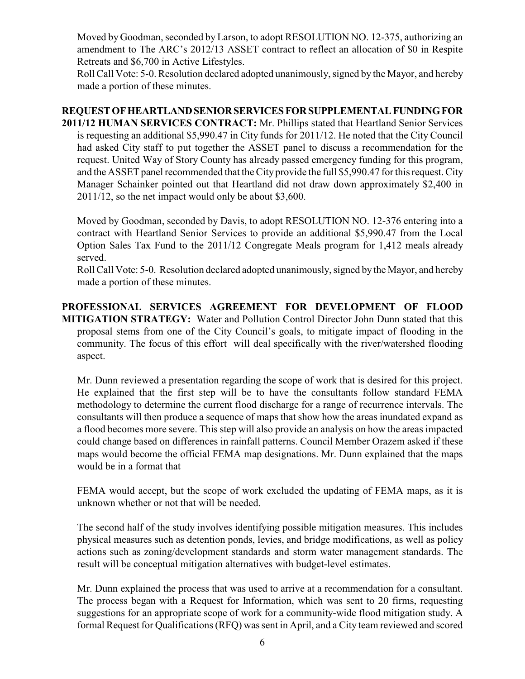Moved by Goodman, seconded by Larson, to adopt RESOLUTION NO. 12-375, authorizing an amendment to The ARC's 2012/13 ASSET contract to reflect an allocation of \$0 in Respite Retreats and \$6,700 in Active Lifestyles.

Roll Call Vote: 5-0. Resolution declared adopted unanimously, signed by the Mayor, and hereby made a portion of these minutes.

# **REQUEST OF HEARTLAND SENIOR SERVICES FOR SUPPLEMENTAL FUNDING FOR**

**2011/12 HUMAN SERVICES CONTRACT:** Mr. Phillips stated that Heartland Senior Services is requesting an additional \$5,990.47 in City funds for 2011/12. He noted that the City Council had asked City staff to put together the ASSET panel to discuss a recommendation for the request. United Way of Story County has already passed emergency funding for this program, and the ASSET panel recommended that the City provide the full \$5,990.47 for this request. City Manager Schainker pointed out that Heartland did not draw down approximately \$2,400 in 2011/12, so the net impact would only be about \$3,600.

Moved by Goodman, seconded by Davis, to adopt RESOLUTION NO. 12-376 entering into a contract with Heartland Senior Services to provide an additional \$5,990.47 from the Local Option Sales Tax Fund to the 2011/12 Congregate Meals program for 1,412 meals already served.

Roll Call Vote: 5-0. Resolution declared adopted unanimously, signed by the Mayor, and hereby made a portion of these minutes.

**PROFESSIONAL SERVICES AGREEMENT FOR DEVELOPMENT OF FLOOD MITIGATION STRATEGY:** Water and Pollution Control Director John Dunn stated that this proposal stems from one of the City Council's goals, to mitigate impact of flooding in the community. The focus of this effort will deal specifically with the river/watershed flooding aspect.

Mr. Dunn reviewed a presentation regarding the scope of work that is desired for this project. He explained that the first step will be to have the consultants follow standard FEMA methodology to determine the current flood discharge for a range of recurrence intervals. The consultants will then produce a sequence of maps that show how the areas inundated expand as a flood becomes more severe. This step will also provide an analysis on how the areas impacted could change based on differences in rainfall patterns. Council Member Orazem asked if these maps would become the official FEMA map designations. Mr. Dunn explained that the maps would be in a format that

FEMA would accept, but the scope of work excluded the updating of FEMA maps, as it is unknown whether or not that will be needed.

The second half of the study involves identifying possible mitigation measures. This includes physical measures such as detention ponds, levies, and bridge modifications, as well as policy actions such as zoning/development standards and storm water management standards. The result will be conceptual mitigation alternatives with budget-level estimates.

Mr. Dunn explained the process that was used to arrive at a recommendation for a consultant. The process began with a Request for Information, which was sent to 20 firms, requesting suggestions for an appropriate scope of work for a community-wide flood mitigation study. A formal Request for Qualifications (RFQ) was sent in April, and a City team reviewed and scored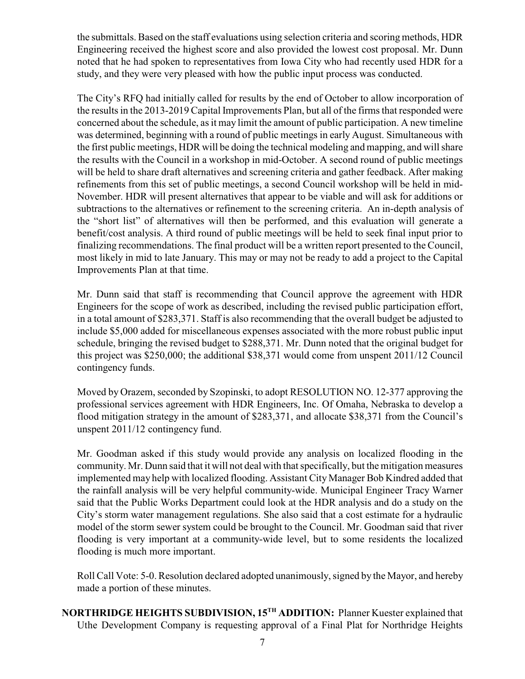the submittals. Based on the staff evaluations using selection criteria and scoring methods, HDR Engineering received the highest score and also provided the lowest cost proposal. Mr. Dunn noted that he had spoken to representatives from Iowa City who had recently used HDR for a study, and they were very pleased with how the public input process was conducted.

The City's RFQ had initially called for results by the end of October to allow incorporation of the results in the 2013-2019 Capital Improvements Plan, but all of the firms that responded were concerned about the schedule, as it may limit the amount of public participation. A new timeline was determined, beginning with a round of public meetings in early August. Simultaneous with the first public meetings, HDR will be doing the technical modeling and mapping, and will share the results with the Council in a workshop in mid-October. A second round of public meetings will be held to share draft alternatives and screening criteria and gather feedback. After making refinements from this set of public meetings, a second Council workshop will be held in mid-November. HDR will present alternatives that appear to be viable and will ask for additions or subtractions to the alternatives or refinement to the screening criteria. An in-depth analysis of the "short list" of alternatives will then be performed, and this evaluation will generate a benefit/cost analysis. A third round of public meetings will be held to seek final input prior to finalizing recommendations. The final product will be a written report presented to the Council, most likely in mid to late January. This may or may not be ready to add a project to the Capital Improvements Plan at that time.

Mr. Dunn said that staff is recommending that Council approve the agreement with HDR Engineers for the scope of work as described, including the revised public participation effort, in a total amount of \$283,371. Staff is also recommending that the overall budget be adjusted to include \$5,000 added for miscellaneous expenses associated with the more robust public input schedule, bringing the revised budget to \$288,371. Mr. Dunn noted that the original budget for this project was \$250,000; the additional \$38,371 would come from unspent 2011/12 Council contingency funds.

Moved by Orazem, seconded by Szopinski, to adopt RESOLUTION NO. 12-377 approving the professional services agreement with HDR Engineers, Inc. Of Omaha, Nebraska to develop a flood mitigation strategy in the amount of \$283,371, and allocate \$38,371 from the Council's unspent 2011/12 contingency fund.

Mr. Goodman asked if this study would provide any analysis on localized flooding in the community. Mr. Dunn said that it will not deal with that specifically, but the mitigation measures implemented may help with localized flooding. Assistant City Manager Bob Kindred added that the rainfall analysis will be very helpful community-wide. Municipal Engineer Tracy Warner said that the Public Works Department could look at the HDR analysis and do a study on the City's storm water management regulations. She also said that a cost estimate for a hydraulic model of the storm sewer system could be brought to the Council. Mr. Goodman said that river flooding is very important at a community-wide level, but to some residents the localized flooding is much more important.

Roll Call Vote: 5-0. Resolution declared adopted unanimously, signed by the Mayor, and hereby made a portion of these minutes.

**NORTHRIDGE HEIGHTS SUBDIVISION, 15<sup>TH</sup> ADDITION: Planner Kuester explained that** Uthe Development Company is requesting approval of a Final Plat for Northridge Heights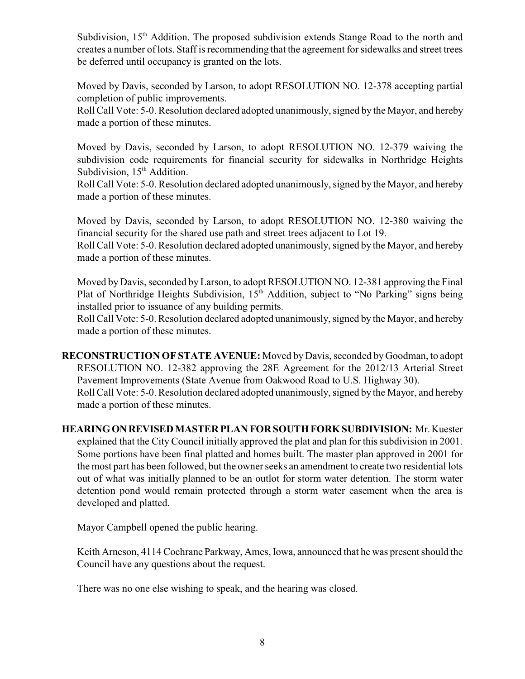Subdivision,  $15<sup>th</sup>$  Addition. The proposed subdivision extends Stange Road to the north and creates a number of lots. Staff is recommending that the agreement for sidewalks and street trees be deferred until occupancy is granted on the lots.

Moved by Davis, seconded by Larson, to adopt RESOLUTION NO. 12-378 accepting partial completion of public improvements.

Roll Call Vote: 5-0. Resolution declared adopted unanimously, signed by the Mayor, and hereby made a portion of these minutes.

Moved by Davis, seconded by Larson, to adopt RESOLUTION NO. 12-379 waiving the subdivision code requirements for financial security for sidewalks in Northridge Heights Subdivision,  $15<sup>th</sup>$  Addition.

Roll Call Vote: 5-0. Resolution declared adopted unanimously, signed by the Mayor, and hereby made a portion of these minutes.

Moved by Davis, seconded by Larson, to adopt RESOLUTION NO. 12-380 waiving the financial security for the shared use path and street trees adjacent to Lot 19.

Roll Call Vote: 5-0. Resolution declared adopted unanimously, signed by the Mayor, and hereby made a portion of these minutes.

Moved by Davis, seconded by Larson, to adopt RESOLUTION NO. 12-381 approving the Final Plat of Northridge Heights Subdivision,  $15<sup>th</sup>$  Addition, subject to "No Parking" signs being installed prior to issuance of any building permits.

Roll Call Vote: 5-0. Resolution declared adopted unanimously, signed by the Mayor, and hereby made a portion of these minutes.

**RECONSTRUCTION OF STATE AVENUE:** Moved by Davis, seconded by Goodman, to adopt RESOLUTION NO. 12-382 approving the 28E Agreement for the 2012/13 Arterial Street Pavement Improvements (State Avenue from Oakwood Road to U.S. Highway 30). Roll Call Vote: 5-0. Resolution declared adopted unanimously, signed by the Mayor, and hereby made a portion of these minutes.

**HEARING ON REVISED MASTER PLAN FOR SOUTH FORK SUBDIVISION:** Mr. Kuester explained that the City Council initially approved the plat and plan for this subdivision in 2001. Some portions have been final platted and homes built. The master plan approved in 2001 for the most part has been followed, but the owner seeks an amendment to create two residential lots out of what was initially planned to be an outlot for storm water detention. The storm water detention pond would remain protected through a storm water easement when the area is developed and platted.

Mayor Campbell opened the public hearing.

Keith Arneson, 4114 Cochrane Parkway, Ames, Iowa, announced that he was present should the Council have any questions about the request.

There was no one else wishing to speak, and the hearing was closed.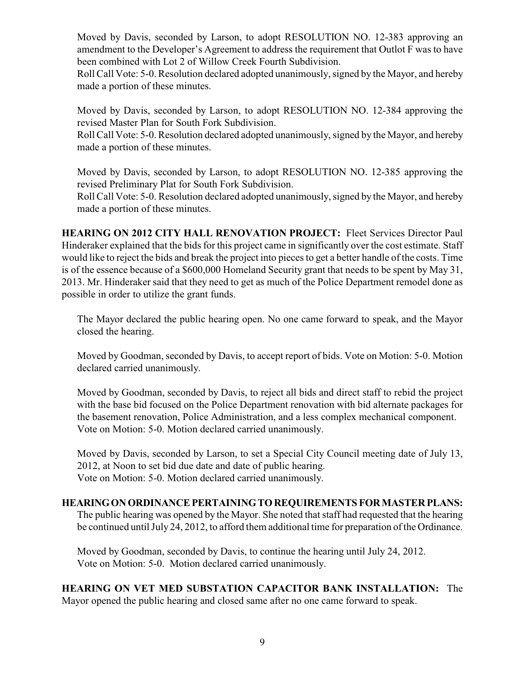Moved by Davis, seconded by Larson, to adopt RESOLUTION NO. 12-383 approving an amendment to the Developer's Agreement to address the requirement that Outlot F was to have been combined with Lot 2 of Willow Creek Fourth Subdivision.

Roll Call Vote: 5-0. Resolution declared adopted unanimously, signed by the Mayor, and hereby made a portion of these minutes.

Moved by Davis, seconded by Larson, to adopt RESOLUTION NO. 12-384 approving the revised Master Plan for South Fork Subdivision.

Roll Call Vote: 5-0. Resolution declared adopted unanimously, signed by the Mayor, and hereby made a portion of these minutes.

Moved by Davis, seconded by Larson, to adopt RESOLUTION NO. 12-385 approving the revised Preliminary Plat for South Fork Subdivision.

Roll Call Vote: 5-0. Resolution declared adopted unanimously, signed by the Mayor, and hereby made a portion of these minutes.

**HEARING ON 2012 CITY HALL RENOVATION PROJECT:** Fleet Services Director Paul Hinderaker explained that the bids for this project came in significantly over the cost estimate. Staff would like to reject the bids and break the project into pieces to get a better handle of the costs. Time is of the essence because of a \$600,000 Homeland Security grant that needs to be spent by May 31, 2013. Mr. Hinderaker said that they need to get as much of the Police Department remodel done as possible in order to utilize the grant funds.

The Mayor declared the public hearing open. No one came forward to speak, and the Mayor closed the hearing.

Moved by Goodman, seconded by Davis, to accept report of bids. Vote on Motion: 5-0. Motion declared carried unanimously.

Moved by Goodman, seconded by Davis, to reject all bids and direct staff to rebid the project with the base bid focused on the Police Department renovation with bid alternate packages for the basement renovation, Police Administration, and a less complex mechanical component. Vote on Motion: 5-0. Motion declared carried unanimously.

Moved by Davis, seconded by Larson, to set a Special City Council meeting date of July 13, 2012, at Noon to set bid due date and date of public hearing. Vote on Motion: 5-0. Motion declared carried unanimously.

### **HEARING ON ORDINANCE PERTAINING TO REQUIREMENTS FOR MASTER PLANS:**

The public hearing was opened by the Mayor. She noted that staff had requested that the hearing be continued until July 24, 2012, to afford them additional time for preparation of the Ordinance.

Moved by Goodman, seconded by Davis, to continue the hearing until July 24, 2012. Vote on Motion: 5-0. Motion declared carried unanimously.

**HEARING ON VET MED SUBSTATION CAPACITOR BANK INSTALLATION:** The Mayor opened the public hearing and closed same after no one came forward to speak.